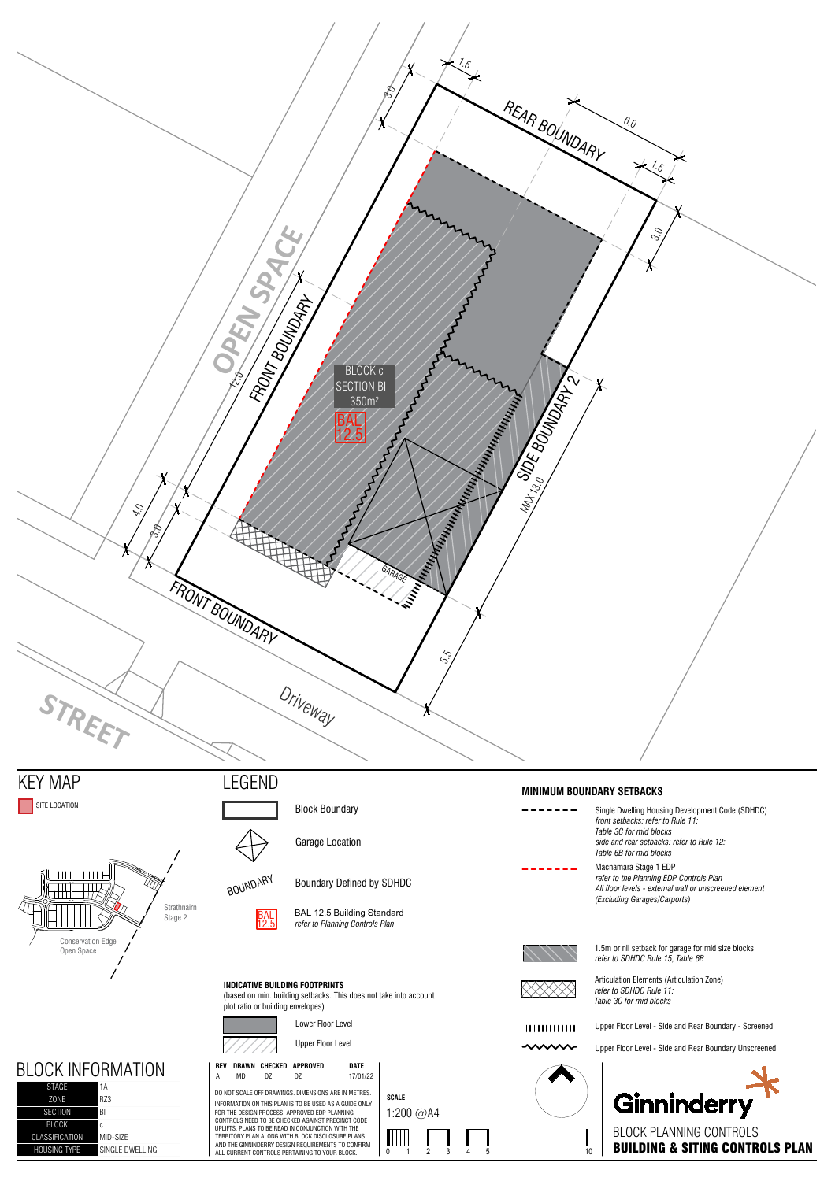